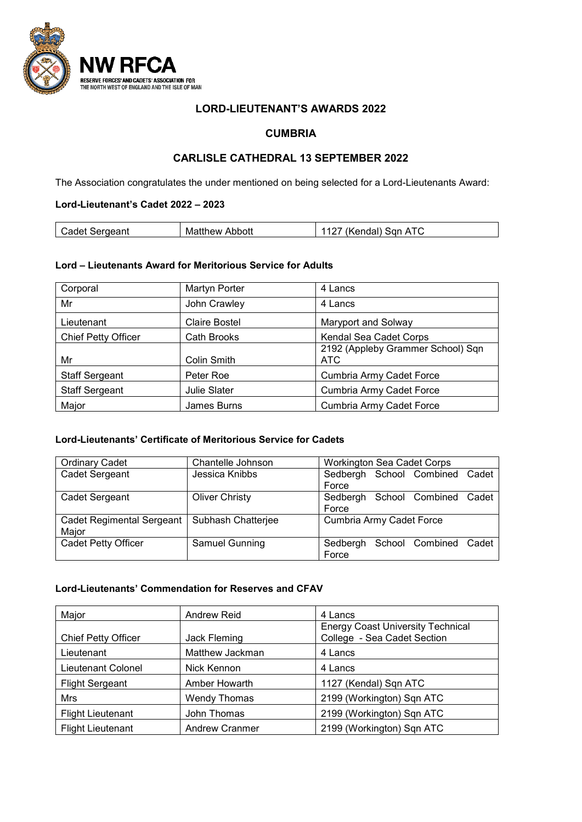

## **LORD-LIEUTENANT'S AWARDS 2022**

## **CUMBRIA**

# **CARLISLE CATHEDRAL 13 SEPTEMBER 2022**

The Association congratulates the under mentioned on being selected for a Lord-Lieutenants Award:

### **Lord-Lieutenant's Cadet 2022 – 2023**

| Cadet Sergeant<br>Abbott<br>Matthew | $^{\prime\prime}$<br>San<br>endal).<br>AIC<br>v |
|-------------------------------------|-------------------------------------------------|
|-------------------------------------|-------------------------------------------------|

### **Lord – Lieutenants Award for Meritorious Service for Adults**

| Corporal                   | <b>Martyn Porter</b> | 4 Lancs                                  |
|----------------------------|----------------------|------------------------------------------|
| Mr                         | John Crawley         | 4 Lancs                                  |
| Lieutenant                 | <b>Claire Bostel</b> | Maryport and Solway                      |
| <b>Chief Petty Officer</b> | <b>Cath Brooks</b>   | Kendal Sea Cadet Corps                   |
| Mr                         | Colin Smith          | 2192 (Appleby Grammer School) Sqn<br>ATC |
| <b>Staff Sergeant</b>      | Peter Roe            | <b>Cumbria Army Cadet Force</b>          |
| <b>Staff Sergeant</b>      | <b>Julie Slater</b>  | <b>Cumbria Army Cadet Force</b>          |
| Major                      | James Burns          | <b>Cumbria Army Cadet Force</b>          |

#### **Lord-Lieutenants' Certificate of Meritorious Service for Cadets**

| <b>Ordinary Cadet</b>            | Chantelle Johnson     | <b>Workington Sea Cadet Corps</b>    |
|----------------------------------|-----------------------|--------------------------------------|
| Cadet Sergeant                   | Jessica Knibbs        | Sedbergh School Combined Cadet       |
|                                  |                       | Force                                |
| Cadet Sergeant                   | <b>Oliver Christy</b> | School Combined<br>Sedbergh<br>Cadet |
|                                  |                       | Force                                |
| <b>Cadet Regimental Sergeant</b> | Subhash Chatterjee    | Cumbria Army Cadet Force             |
| Major                            |                       |                                      |
| <b>Cadet Petty Officer</b>       | Samuel Gunning        | School Combined Cadet<br>Sedbergh    |
|                                  |                       | Force                                |

#### **Lord-Lieutenants' Commendation for Reserves and CFAV**

| Major                      | <b>Andrew Reid</b>    | 4 Lancs                                  |
|----------------------------|-----------------------|------------------------------------------|
|                            |                       | <b>Energy Coast University Technical</b> |
| <b>Chief Petty Officer</b> | Jack Fleming          | College - Sea Cadet Section              |
| Lieutenant                 | Matthew Jackman       | 4 Lancs                                  |
| Lieutenant Colonel         | Nick Kennon           | 4 Lancs                                  |
| <b>Flight Sergeant</b>     | Amber Howarth         | 1127 (Kendal) Sqn ATC                    |
| <b>Mrs</b>                 | <b>Wendy Thomas</b>   | 2199 (Workington) Sqn ATC                |
| <b>Flight Lieutenant</b>   | John Thomas           | 2199 (Workington) Sqn ATC                |
| <b>Flight Lieutenant</b>   | <b>Andrew Cranmer</b> | 2199 (Workington) Sqn ATC                |